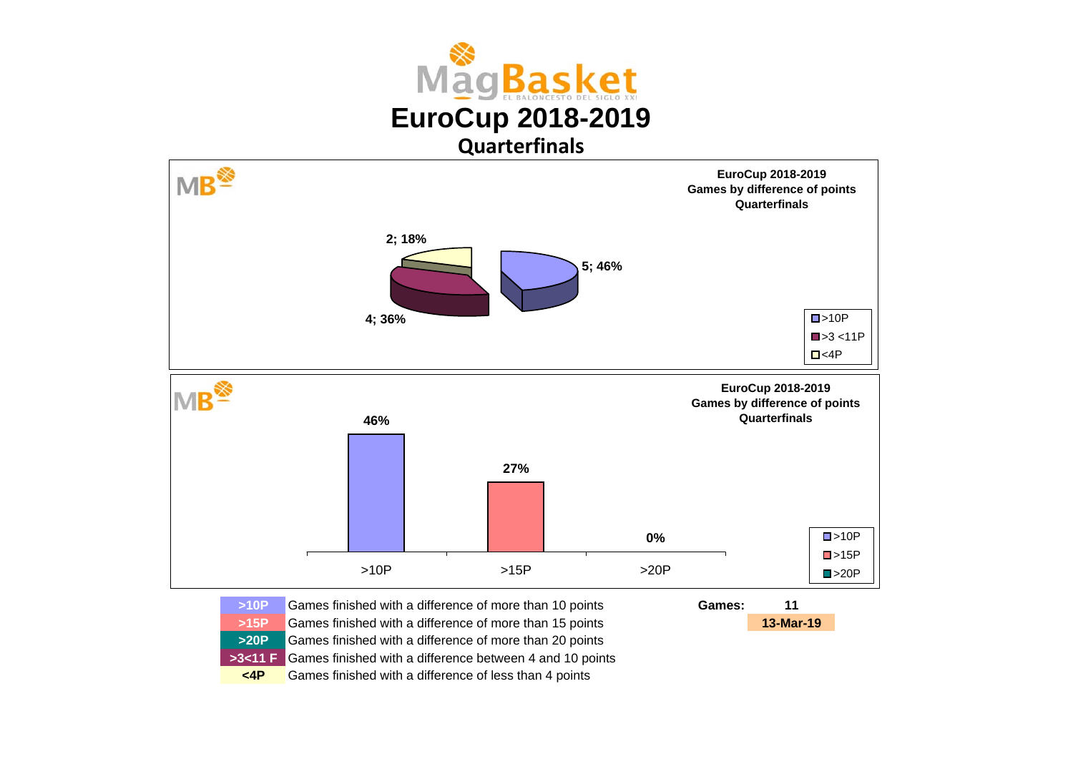



| >10P      | Games finished with a difference of more than 10 points                       | Games: | 11        |
|-----------|-------------------------------------------------------------------------------|--------|-----------|
| >15P      | Games finished with a difference of more than 15 points                       |        | 13-Mar-19 |
| >20P      | Games finished with a difference of more than 20 points                       |        |           |
|           | <b>&gt;3&lt;11 F</b> Games finished with a difference between 4 and 10 points |        |           |
| $\leq$ 4P | Games finished with a difference of less than 4 points                        |        |           |